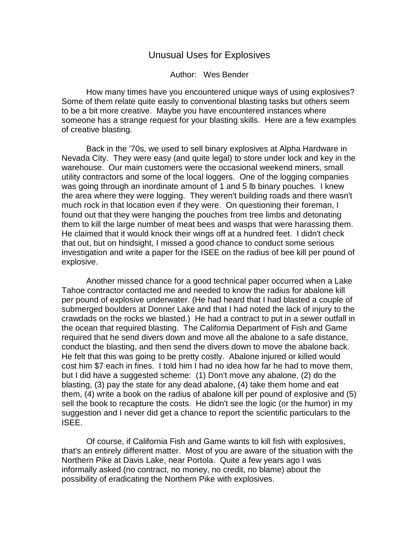## Unusual Uses for Explosives

## Author: Wes Bender

How many times have you encountered unique ways of using explosives? Some of them relate quite easily to conventional blasting tasks but others seem to be a bit more creative. Maybe you have encountered instances where someone has a strange request for your blasting skills. Here are a few examples of creative blasting.

Back in the '70s, we used to sell binary explosives at Alpha Hardware in Nevada City. They were easy (and quite legal) to store under lock and key in the warehouse. Our main customers were the occasional weekend miners, small utility contractors and some of the local loggers. One of the logging companies was going through an inordinate amount of 1 and 5 lb binary pouches. I knew the area where they were logging. They weren't building roads and there wasn't much rock in that location even if they were. On questioning their foreman, I found out that they were hanging the pouches from tree limbs and detonating them to kill the large number of meat bees and wasps that were harassing them. He claimed that it would knock their wings off at a hundred feet. I didn't check that out, but on hindsight, I missed a good chance to conduct some serious investigation and write a paper for the ISEE on the radius of bee kill per pound of explosive.

Another missed chance for a good technical paper occurred when a Lake Tahoe contractor contacted me and needed to know the radius for abalone kill per pound of explosive underwater. (He had heard that I had blasted a couple of submerged boulders at Donner Lake and that I had noted the lack of injury to the crawdads on the rocks we blasted.) He had a contract to put in a sewer outfall in the ocean that required blasting. The California Department of Fish and Game required that he send divers down and move all the abalone to a safe distance, conduct the blasting, and then send the divers down to move the abalone back. He felt that this was going to be pretty costly. Abalone injured or killed would cost him \$7 each in fines. I told him I had no idea how far he had to move them, but I did have a suggested scheme: (1) Don't move any abalone, (2) do the blasting, (3) pay the state for any dead abalone, (4) take them home and eat them, (4) write a book on the radius of abalone kill per pound of explosive and (5) sell the book to recapture the costs. He didn't see the logic (or the humor) in my suggestion and I never did get a chance to report the scientific particulars to the ISEE.

Of course, if California Fish and Game wants to kill fish with explosives, that's an entirely different matter. Most of you are aware of the situation with the Northern Pike at Davis Lake, near Portola. Quite a few years ago I was informally asked (no contract, no money, no credit, no blame) about the possibility of eradicating the Northern Pike with explosives.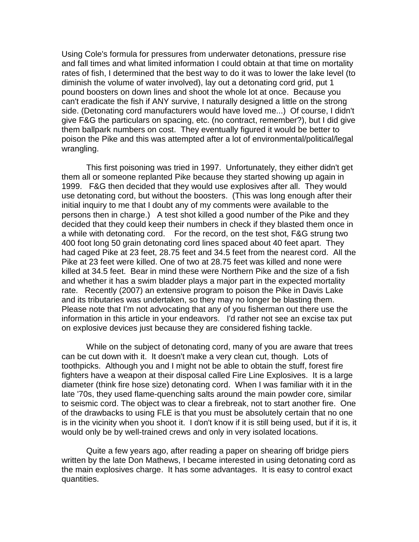Using Cole's formula for pressures from underwater detonations, pressure rise and fall times and what limited information I could obtain at that time on mortality rates of fish, I determined that the best way to do it was to lower the lake level (to diminish the volume of water involved), lay out a detonating cord grid, put 1 pound boosters on down lines and shoot the whole lot at once. Because you can't eradicate the fish if ANY survive, I naturally designed a little on the strong side. (Detonating cord manufacturers would have loved me...) Of course, I didn't give F&G the particulars on spacing, etc. (no contract, remember?), but I did give them ballpark numbers on cost. They eventually figured it would be better to poison the Pike and this was attempted after a lot of environmental/political/legal wrangling.

This first poisoning was tried in 1997. Unfortunately, they either didn't get them all or someone replanted Pike because they started showing up again in 1999. F&G then decided that they would use explosives after all. They would use detonating cord, but without the boosters. (This was long enough after their initial inquiry to me that I doubt any of my comments were available to the persons then in charge.) A test shot killed a good number of the Pike and they decided that they could keep their numbers in check if they blasted them once in a while with detonating cord. For the record, on the test shot, F&G strung two 400 foot long 50 grain detonating cord lines spaced about 40 feet apart. They had caged Pike at 23 feet, 28.75 feet and 34.5 feet from the nearest cord. All the Pike at 23 feet were killed. One of two at 28.75 feet was killed and none were killed at 34.5 feet. Bear in mind these were Northern Pike and the size of a fish and whether it has a swim bladder plays a major part in the expected mortality rate. Recently (2007) an extensive program to poison the Pike in Davis Lake and its tributaries was undertaken, so they may no longer be blasting them. Please note that I'm not advocating that any of you fisherman out there use the information in this article in your endeavors. I'd rather not see an excise tax put on explosive devices just because they are considered fishing tackle.

While on the subject of detonating cord, many of you are aware that trees can be cut down with it. It doesn't make a very clean cut, though. Lots of toothpicks. Although you and I might not be able to obtain the stuff, forest fire fighters have a weapon at their disposal called Fire Line Explosives. It is a large diameter (think fire hose size) detonating cord. When I was familiar with it in the late '70s, they used flame-quenching salts around the main powder core, similar to seismic cord. The object was to clear a firebreak, not to start another fire. One of the drawbacks to using FLE is that you must be absolutely certain that no one is in the vicinity when you shoot it. I don't know if it is still being used, but if it is, it would only be by well-trained crews and only in very isolated locations.

Quite a few years ago, after reading a paper on shearing off bridge piers written by the late Don Mathews, I became interested in using detonating cord as the main explosives charge. It has some advantages. It is easy to control exact quantities.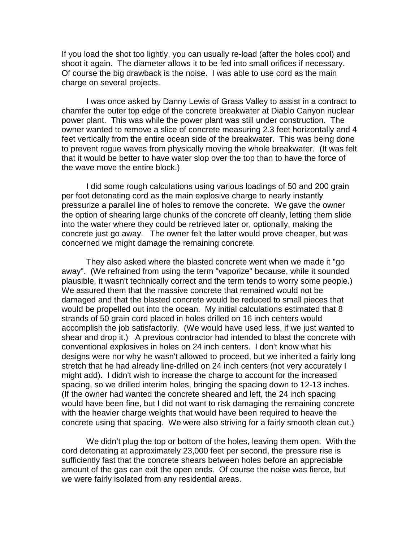If you load the shot too lightly, you can usually re-load (after the holes cool) and shoot it again. The diameter allows it to be fed into small orifices if necessary. Of course the big drawback is the noise. I was able to use cord as the main charge on several projects.

I was once asked by Danny Lewis of Grass Valley to assist in a contract to chamfer the outer top edge of the concrete breakwater at Diablo Canyon nuclear power plant. This was while the power plant was still under construction. The owner wanted to remove a slice of concrete measuring 2.3 feet horizontally and 4 feet vertically from the entire ocean side of the breakwater. This was being done to prevent rogue waves from physically moving the whole breakwater. (It was felt that it would be better to have water slop over the top than to have the force of the wave move the entire block.)

I did some rough calculations using various loadings of 50 and 200 grain per foot detonating cord as the main explosive charge to nearly instantly pressurize a parallel line of holes to remove the concrete. We gave the owner the option of shearing large chunks of the concrete off cleanly, letting them slide into the water where they could be retrieved later or, optionally, making the concrete just go away. The owner felt the latter would prove cheaper, but was concerned we might damage the remaining concrete.

They also asked where the blasted concrete went when we made it "go away". (We refrained from using the term "vaporize" because, while it sounded plausible, it wasn't technically correct and the term tends to worry some people.) We assured them that the massive concrete that remained would not be damaged and that the blasted concrete would be reduced to small pieces that would be propelled out into the ocean. My initial calculations estimated that 8 strands of 50 grain cord placed in holes drilled on 16 inch centers would accomplish the job satisfactorily. (We would have used less, if we just wanted to shear and drop it.) A previous contractor had intended to blast the concrete with conventional explosives in holes on 24 inch centers. I don't know what his designs were nor why he wasn't allowed to proceed, but we inherited a fairly long stretch that he had already line-drilled on 24 inch centers (not very accurately I might add). I didn't wish to increase the charge to account for the increased spacing, so we drilled interim holes, bringing the spacing down to 12-13 inches. (If the owner had wanted the concrete sheared and left, the 24 inch spacing would have been fine, but I did not want to risk damaging the remaining concrete with the heavier charge weights that would have been required to heave the concrete using that spacing. We were also striving for a fairly smooth clean cut.)

We didn't plug the top or bottom of the holes, leaving them open. With the cord detonating at approximately 23,000 feet per second, the pressure rise is sufficiently fast that the concrete shears between holes before an appreciable amount of the gas can exit the open ends. Of course the noise was fierce, but we were fairly isolated from any residential areas.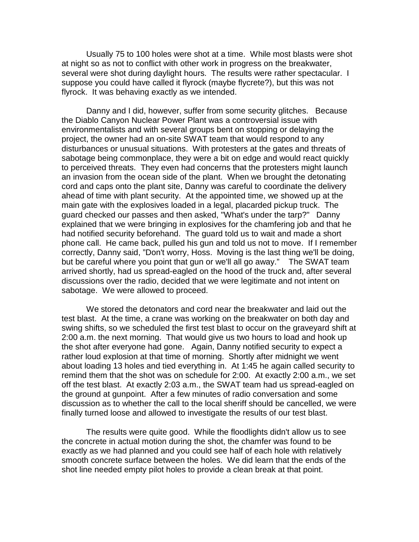Usually 75 to 100 holes were shot at a time. While most blasts were shot at night so as not to conflict with other work in progress on the breakwater, several were shot during daylight hours. The results were rather spectacular. I suppose you could have called it flyrock (maybe flycrete?), but this was not flyrock. It was behaving exactly as we intended.

Danny and I did, however, suffer from some security glitches. Because the Diablo Canyon Nuclear Power Plant was a controversial issue with environmentalists and with several groups bent on stopping or delaying the project, the owner had an on-site SWAT team that would respond to any disturbances or unusual situations. With protesters at the gates and threats of sabotage being commonplace, they were a bit on edge and would react quickly to perceived threats. They even had concerns that the protesters might launch an invasion from the ocean side of the plant. When we brought the detonating cord and caps onto the plant site, Danny was careful to coordinate the delivery ahead of time with plant security. At the appointed time, we showed up at the main gate with the explosives loaded in a legal, placarded pickup truck. The guard checked our passes and then asked, "What's under the tarp?" Danny explained that we were bringing in explosives for the chamfering job and that he had notified security beforehand. The guard told us to wait and made a short phone call. He came back, pulled his gun and told us not to move. If I remember correctly, Danny said, "Don't worry, Hoss. Moving is the last thing we'll be doing, but be careful where you point that gun or we'll all go away." The SWAT team arrived shortly, had us spread-eagled on the hood of the truck and, after several discussions over the radio, decided that we were legitimate and not intent on sabotage. We were allowed to proceed.

We stored the detonators and cord near the breakwater and laid out the test blast. At the time, a crane was working on the breakwater on both day and swing shifts, so we scheduled the first test blast to occur on the graveyard shift at 2:00 a.m. the next morning. That would give us two hours to load and hook up the shot after everyone had gone. Again, Danny notified security to expect a rather loud explosion at that time of morning. Shortly after midnight we went about loading 13 holes and tied everything in. At 1:45 he again called security to remind them that the shot was on schedule for 2:00. At exactly 2:00 a.m., we set off the test blast. At exactly 2:03 a.m., the SWAT team had us spread-eagled on the ground at gunpoint. After a few minutes of radio conversation and some discussion as to whether the call to the local sheriff should be cancelled, we were finally turned loose and allowed to investigate the results of our test blast.

The results were quite good. While the floodlights didn't allow us to see the concrete in actual motion during the shot, the chamfer was found to be exactly as we had planned and you could see half of each hole with relatively smooth concrete surface between the holes. We did learn that the ends of the shot line needed empty pilot holes to provide a clean break at that point.